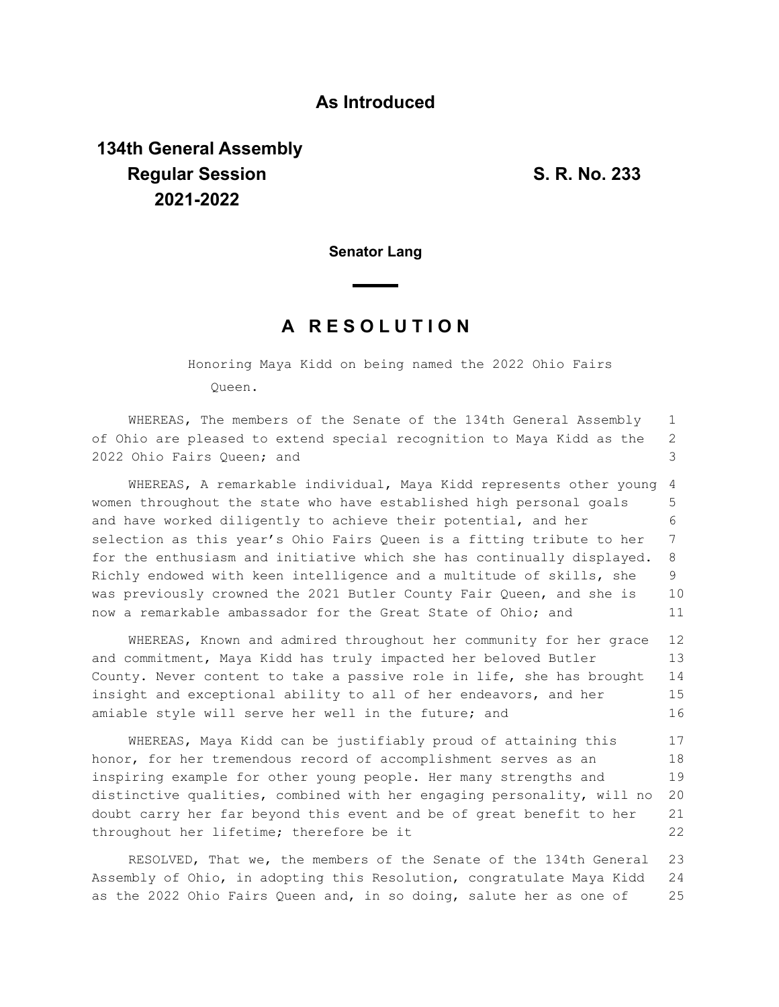## **As Introduced**

## **134th General Assembly Regular Session S. R. No. 233 2021-2022**

**Senator Lang**

## **A R E S O L U T I O N**

Honoring Maya Kidd on being named the 2022 Ohio Fairs Queen.

WHEREAS, The members of the Senate of the 134th General Assembly of Ohio are pleased to extend special recognition to Maya Kidd as the 2022 Ohio Fairs Queen; and 1 2 3

WHEREAS, A remarkable individual, Maya Kidd represents other young women throughout the state who have established high personal goals and have worked diligently to achieve their potential, and her selection as this year's Ohio Fairs Queen is a fitting tribute to her for the enthusiasm and initiative which she has continually displayed. Richly endowed with keen intelligence and a multitude of skills, she was previously crowned the 2021 Butler County Fair Queen, and she is now a remarkable ambassador for the Great State of Ohio; and 4 5 6 7 8 9 10 11

WHEREAS, Known and admired throughout her community for her grace and commitment, Maya Kidd has truly impacted her beloved Butler County. Never content to take a passive role in life, she has brought insight and exceptional ability to all of her endeavors, and her amiable style will serve her well in the future; and 12 13 14 15 16

WHEREAS, Maya Kidd can be justifiably proud of attaining this honor, for her tremendous record of accomplishment serves as an inspiring example for other young people. Her many strengths and distinctive qualities, combined with her engaging personality, will no doubt carry her far beyond this event and be of great benefit to her throughout her lifetime; therefore be it 17 18 19 20 21 22

RESOLVED, That we, the members of the Senate of the 134th General Assembly of Ohio, in adopting this Resolution, congratulate Maya Kidd as the 2022 Ohio Fairs Queen and, in so doing, salute her as one of 23 24 25